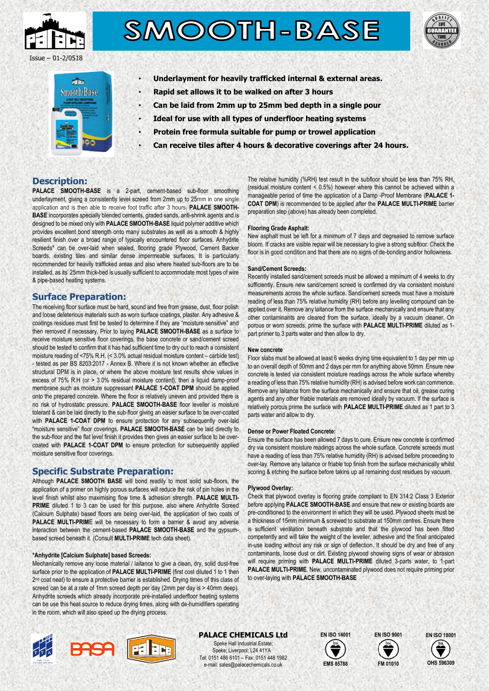

# SMOOTH-BASE





- **Underlayment for heavily trafficked internal & external areas.**
- **Rapid set allows it to be walked on after 3 hours**
- **Can be laid from 2mm up to 25mm bed depth in a single pour**
- **Ideal for use with all types of underfloor heating systems**
- **Protein free formula suitable for pump or trowel application**
- **Can receive tiles after 4 hours & decorative coverings after 24 hours.**

## **Description:**

PALACE SMOOTH-BASE is a 2-part, cement-based sub-floor smoothing underlayment, giving a consistently level screed from 2mm up to 25mm in one single application and is then able to receive foot traffic after 3 hours. **PALACE SMOOTH-BASE** incorporates specially blended cements, graded sands, anti-shrink agents and is designed to be mixed only with **PALACE SMOOTH-BASE** liquid polymer additive which provides excellent bond strength onto many substrates as well as a smooth & highly resilient finish over a broad range of typically encountered floor surfaces. Anhydrite Screeds\* can be over-laid when sealed, flooring grade Plywood, Cement Backer boards, existing tiles and similar dense impermeable surfaces. It is particularly recommended for heavily trafficked areas and also where heated sub-floors are to be installed, as its' 25mm thick-bed is usually sufficient to accommodate most types of wire & pipe-based heating systems.

## **Surface Preparation:**

The receiving floor surface must be hard, sound and free from grease, dust, floor polish and loose deleterious materials such as worn surface coatings, plaster. Any adhesive & coatings residues must first be tested to determine if they are "moisture sensitive" and then removed if necessary. Prior to laying **PALACE SMOOTH-BASE** as a surface to receive moisture sensitive floor coverings, the base concrete or sand/cement screed should be tested to confirm that it has had sufficient time to dry out to reach a consistent moisture reading of <75% R.H. (< 3.0% actual residual moisture content – carbide test) - tested as per BS 8203:2017 - Annex B. Where it is not known whether an effective structural DPM is in place, or where the above moisture test results show values in excess of 75% R.H (or > 3.0% residual moisture content), then a liquid damp-proof membrane such as moisture suppressant **PALACE 1-COAT DPM** should be applied onto the prepared concrete. Where the floor is relatively uneven and provided there is no risk of hydrostatic pressure, **PALACE SMOOTH-BASE** floor leveller is moisture tolerant & can be laid directly to the sub-floor giving an easier surface to be over-coated with **PALACE 1-COAT DPM** to ensure protection for any subsequently over-laid "moisture sensitive" floor coverings. **PALACE SMOOTH-BASE** can be laid directly to the sub-floor and the flat level finish it provides then gives an easier surface to be overcoated with **PALACE 1-COAT DPM** to ensure protection for subsequently applied moisture sensitive floor coverings.

## **Specific Substrate Preparation:**

Although **PALACE SMOOTH BASE** will bond readily to most solid sub-floors, the application of a primer on highly porous surfaces will reduce the risk of pin holes in the level finish whilst also maximising flow time & adhesion strength. **PALACE MULTI-**PRIME diluted 1 to 3 can be used for this purpose, also where Anhydrite Screed (Calcium Sulphate) based floors are being over-laid, the application of two coats of **PALACE MULTI-PRIM**E will be necessary to form a barrier & avoid any adverse interaction between the cement-based **PALACE SMOOTH-BASE** and the gypsumbased screed beneath it. (Consult **MULTI-PRIME** tech data sheet).

#### **\*Anhydrite [Calcium Sulphate] based Screeds:**

Mechanically remove any loose material / laitance to give a clean, dry, solid dust-free surface prior to the application of **PALACE MULTI-PRIME** (first cost diluted 1 to 1 then 2<sup>nd</sup> coat neat) to ensure a protective barrier is established. Drying times of this class of screed can be at a rate of 1mm screed depth per day (2mm per day is > 40mm deep). Anhydrite screeds which already incorporate pre-installed underfloor heating systems can be use this heat source to reduce drying times, along with de-humidifiers operating in the room, which will also speed up the drying process.

EN



**PALACE CHEMICALS Ltd** Speke Hall Industrial Estate; Speke; Liverpool; L24 41YA Tel: 0151 486 6101 – Fax: 0151 448 1982 e-mail: sales@palacechemicals.co.uk







The relative humidity (%RH) test result in the subfloor should be less than 75% RH, (residual moisture content < 0.5%) however where this cannot be achieved within a manageable period of time the application of a Damp -Proof Membrane (**PALACE 1- COAT DPM**) is recommended to be applied after the **PALACE MULTI-PRIME** barrier preparation step (above) has already been completed.

#### **Flooring Grade Asphalt:**

New asphalt must be left for a minimum of 7 days and degreased to remove surface bloom. If cracks are visible repair will be necessary to give a strong subfloor. Check the floor is in good condition and that there are no signs of de-bonding and/or hollowness.

#### **Sand/Cement Screeds:**

Recently installed sand/cement screeds must be allowed a minimum of 4 weeks to dry sufficiently. Ensure new sand/cement screed is confirmed dry via consistent moisture measurements across the whole surface. Sand/cement screeds must have a moisture reading of less than 75% relative humidity (RH) before any levelling compound can be applied over it. Remove any laitance from the surface mechanically and ensure that any other contaminants are cleared from the surface. ideally by a vacuum cleaner. On porous or worn screeds, prime the surface with **PALACE MULTI-PRIME** diluted as 1 part primer to 3 parts water and then allow to dry.

#### **New concrete**

Floor slabs must be allowed at least 6 weeks drying time equivalent to 1 day per mm up to an overall depth of 50mm and 2 days per mm for anything above 50mm. Ensure new concrete is tested via consistent moisture readings across the whole surface whereby a reading of less than 75% relative humidity (RH) is advised before work can commence. Remove any laitance from the surface mechanically and ensure that oil, grease curing agents and any other friable materials are removed ideally by vacuum. If the surface is relatively porous prime the surface with **PALACE MULTI-PRIME** diluted as 1 part to 3 parts water and allow to dry.

#### **Dense or Power Floated Concrete:**

Ensure the surface has been allowed 7 days to cure. Ensure new concrete is confirmed dry via consistent moisture readings across the whole surface. Concrete screeds must have a reading of less than 75% relative humidity (RH) is advised before proceeding to over-lay. Remove any laitance or friable top finish from the surface mechanically whilst scoring & etching the surface before takins up all remaining dust residues by vacuum.

#### **Plywood Overlay:**

Check that plywood overlay is flooring grade compliant to EN 314:2 Class 3 Exterior before applying **PALACE SMOOTH-BASE** and ensure that new or existing boards are pre-conditioned to the environment in which they will be used. Plywood sheets must be a thickness of 15mm minimum & screwed to substrate at 150mm centres. Ensure there is sufficient ventilation beneath substrate and that the plywood has been fitted competently and will take the weight of the leveller, adhesive and the final anticipated in-use loading without any risk or sign of deflection. It should be dry and free of any contaminants, loose dust or dirt. Existing plywood showing signs of wear or abrasion will require priming with **PALACE MULTI-PRIME** diluted 3-parts water, to 1-part **PALACE MULTI-PRIME**. New, uncontaminated plywood does not require priming prior to over-laying with **PALACE SMOOTH-BASE**